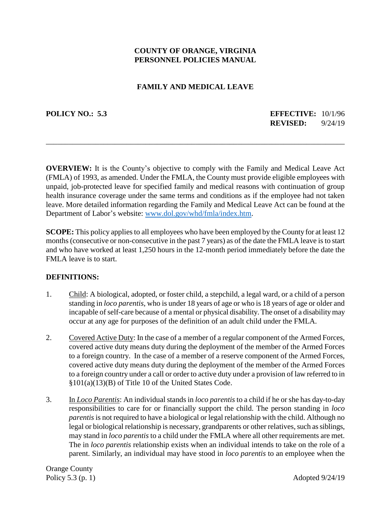# **COUNTY OF ORANGE, VIRGINIA PERSONNEL POLICIES MANUAL**

### **FAMILY AND MEDICAL LEAVE**

**POLICY NO.: 5.3 EFFECTIVE:** 10/1/96 **REVISED:** 9/24/19

**OVERVIEW:** It is the County's objective to comply with the Family and Medical Leave Act (FMLA) of 1993, as amended. Under the FMLA, the County must provide eligible employees with unpaid, job-protected leave for specified family and medical reasons with continuation of group health insurance coverage under the same terms and conditions as if the employee had not taken leave. More detailed information regarding the Family and Medical Leave Act can be found at the Department of Labor's website: [www.dol.gov/whd/fmla/index.htm.](http://www.dol.gov/whd/fmla/index.htm)

\_\_\_\_\_\_\_\_\_\_\_\_\_\_\_\_\_\_\_\_\_\_\_\_\_\_\_\_\_\_\_\_\_\_\_\_\_\_\_\_\_\_\_\_\_\_\_\_\_\_\_\_\_\_\_\_\_\_\_\_\_\_\_\_\_\_\_\_\_\_\_\_\_\_\_\_\_\_

**SCOPE:** This policy applies to all employees who have been employed by the County for at least 12 months (consecutive or non-consecutive in the past 7 years) as of the date the FMLA leave is to start and who have worked at least 1,250 hours in the 12-month period immediately before the date the FMLA leave is to start.

### **DEFINITIONS:**

- 1. Child: A biological, adopted, or foster child, a stepchild, a legal ward, or a child of a person standing in *loco parentis*, who is under 18 years of age or who is 18 years of age or older and incapable of self-care because of a mental or physical disability. The onset of a disability may occur at any age for purposes of the definition of an adult child under the FMLA.
- 2. Covered Active Duty: In the case of a member of a regular component of the Armed Forces, covered active duty means duty during the deployment of the member of the Armed Forces to a foreign country. In the case of a member of a reserve component of the Armed Forces, covered active duty means duty during the deployment of the member of the Armed Forces to a foreign country under a call or order to active duty under a provision of law referred to in §101(a)(13)(B) of Title 10 of the United States Code.
- 3. In *Loco Parentis*: An individual stands in *loco parentis* to a child if he or she has day-to-day responsibilities to care for or financially support the child. The person standing in *loco parentis* is not required to have a biological or legal relationship with the child. Although no legal or biological relationship is necessary, grandparents or other relatives, such as siblings, may stand in *loco parentis* to a child under the FMLA where all other requirements are met. The in *loco parentis* relationship exists when an individual intends to take on the role of a parent. Similarly, an individual may have stood in *loco parentis* to an employee when the

Orange County Policy  $5.3$  (p. 1) Adopted  $9/24/19$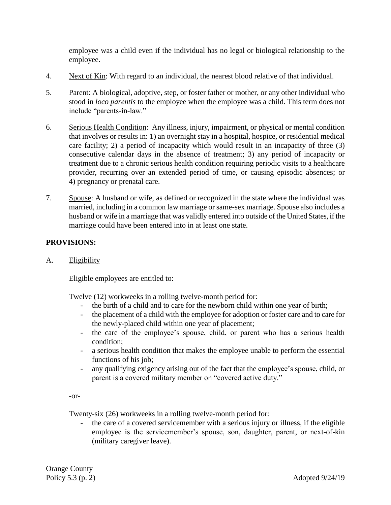employee was a child even if the individual has no legal or biological relationship to the employee.

- 4. Next of Kin: With regard to an individual, the nearest blood relative of that individual.
- 5. Parent: A biological, adoptive, step, or foster father or mother, or any other individual who stood in *loco parentis* to the employee when the employee was a child. This term does not include "parents-in-law."
- 6. Serious Health Condition: Any illness, injury, impairment, or physical or mental condition that involves or results in: 1) an overnight stay in a hospital, hospice, or residential medical care facility; 2) a period of incapacity which would result in an incapacity of three (3) consecutive calendar days in the absence of treatment; 3) any period of incapacity or treatment due to a chronic serious health condition requiring periodic visits to a healthcare provider, recurring over an extended period of time, or causing episodic absences; or 4) pregnancy or prenatal care.
- 7. Spouse: A husband or wife, as defined or recognized in the state where the individual was married, including in a common law marriage or same-sex marriage. Spouse also includes a husband or wife in a marriage that was validly entered into outside of the United States, if the marriage could have been entered into in at least one state.

# **PROVISIONS:**

A. Eligibility

Eligible employees are entitled to:

Twelve (12) workweeks in a rolling twelve-month period for:

- the birth of a child and to care for the newborn child within one year of birth;
- the placement of a child with the employee for adoption or foster care and to care for the newly-placed child within one year of placement;
- the care of the employee's spouse, child, or parent who has a serious health condition;
- a serious health condition that makes the employee unable to perform the essential functions of his job;
- any qualifying exigency arising out of the fact that the employee's spouse, child, or parent is a covered military member on "covered active duty."

-or-

Twenty-six (26) workweeks in a rolling twelve-month period for:

the care of a covered servicemember with a serious injury or illness, if the eligible employee is the servicemember's spouse, son, daughter, parent, or next-of-kin (military caregiver leave).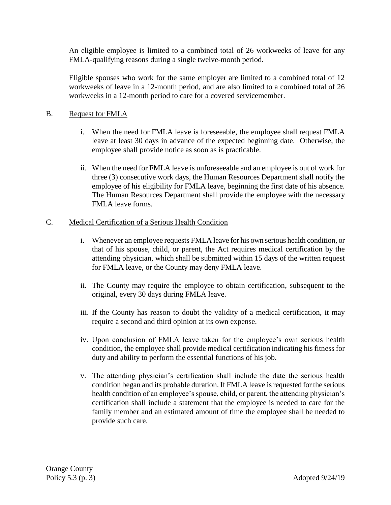An eligible employee is limited to a combined total of 26 workweeks of leave for any FMLA-qualifying reasons during a single twelve-month period.

Eligible spouses who work for the same employer are limited to a combined total of 12 workweeks of leave in a 12-month period, and are also limited to a combined total of 26 workweeks in a 12-month period to care for a covered servicemember.

# B. Request for FMLA

- i. When the need for FMLA leave is foreseeable, the employee shall request FMLA leave at least 30 days in advance of the expected beginning date. Otherwise, the employee shall provide notice as soon as is practicable.
- ii. When the need for FMLA leave is unforeseeable and an employee is out of work for three (3) consecutive work days, the Human Resources Department shall notify the employee of his eligibility for FMLA leave, beginning the first date of his absence. The Human Resources Department shall provide the employee with the necessary FMLA leave forms.

# C. Medical Certification of a Serious Health Condition

- i. Whenever an employee requests FMLA leave for his own serious health condition, or that of his spouse, child, or parent, the Act requires medical certification by the attending physician, which shall be submitted within 15 days of the written request for FMLA leave, or the County may deny FMLA leave.
- ii. The County may require the employee to obtain certification, subsequent to the original, every 30 days during FMLA leave.
- iii. If the County has reason to doubt the validity of a medical certification, it may require a second and third opinion at its own expense.
- iv. Upon conclusion of FMLA leave taken for the employee's own serious health condition, the employee shall provide medical certification indicating his fitness for duty and ability to perform the essential functions of his job.
- v. The attending physician's certification shall include the date the serious health condition began and its probable duration. If FMLA leave is requested for the serious health condition of an employee's spouse, child, or parent, the attending physician's certification shall include a statement that the employee is needed to care for the family member and an estimated amount of time the employee shall be needed to provide such care.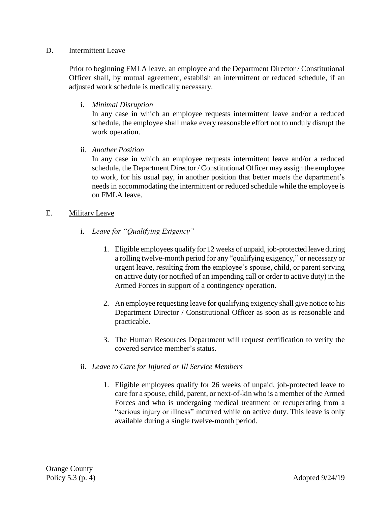### D. **Intermittent Leave**

Prior to beginning FMLA leave, an employee and the Department Director / Constitutional Officer shall, by mutual agreement, establish an intermittent or reduced schedule, if an adjusted work schedule is medically necessary.

i. *Minimal Disruption*

In any case in which an employee requests intermittent leave and/or a reduced schedule, the employee shall make every reasonable effort not to unduly disrupt the work operation.

ii. *Another Position*

In any case in which an employee requests intermittent leave and/or a reduced schedule, the Department Director / Constitutional Officer may assign the employee to work, for his usual pay, in another position that better meets the department's needs in accommodating the intermittent or reduced schedule while the employee is on FMLA leave.

### E. Military Leave

- i. *Leave for "Qualifying Exigency"*
	- 1. Eligible employees qualify for 12 weeks of unpaid, job-protected leave during a rolling twelve-month period for any "qualifying exigency," or necessary or urgent leave, resulting from the employee's spouse, child, or parent serving on active duty (or notified of an impending call or order to active duty) in the Armed Forces in support of a contingency operation.
	- 2. An employee requesting leave for qualifying exigency shall give notice to his Department Director / Constitutional Officer as soon as is reasonable and practicable.
	- 3. The Human Resources Department will request certification to verify the covered service member's status.
- ii. *Leave to Care for Injured or Ill Service Members*
	- 1. Eligible employees qualify for 26 weeks of unpaid, job-protected leave to care for a spouse, child, parent, or next-of-kin who is a member of the Armed Forces and who is undergoing medical treatment or recuperating from a "serious injury or illness" incurred while on active duty. This leave is only available during a single twelve-month period.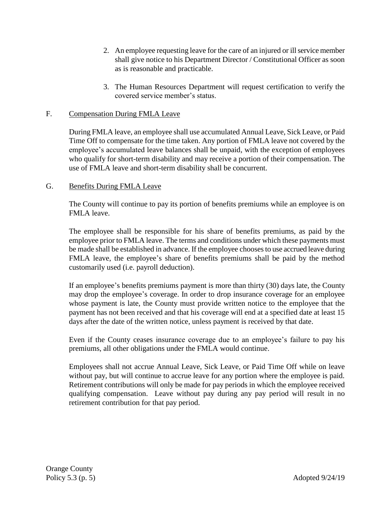- 2. An employee requesting leave for the care of an injured or ill service member shall give notice to his Department Director / Constitutional Officer as soon as is reasonable and practicable.
- 3. The Human Resources Department will request certification to verify the covered service member's status.

### F. Compensation During FMLA Leave

During FMLA leave, an employee shall use accumulated Annual Leave, Sick Leave, or Paid Time Off to compensate for the time taken. Any portion of FMLA leave not covered by the employee's accumulated leave balances shall be unpaid, with the exception of employees who qualify for short-term disability and may receive a portion of their compensation. The use of FMLA leave and short-term disability shall be concurrent.

### G. Benefits During FMLA Leave

The County will continue to pay its portion of benefits premiums while an employee is on FMLA leave.

The employee shall be responsible for his share of benefits premiums, as paid by the employee prior to FMLA leave. The terms and conditions under which these payments must be made shall be established in advance. If the employee chooses to use accrued leave during FMLA leave, the employee's share of benefits premiums shall be paid by the method customarily used (i.e. payroll deduction).

If an employee's benefits premiums payment is more than thirty (30) days late, the County may drop the employee's coverage. In order to drop insurance coverage for an employee whose payment is late, the County must provide written notice to the employee that the payment has not been received and that his coverage will end at a specified date at least 15 days after the date of the written notice, unless payment is received by that date.

Even if the County ceases insurance coverage due to an employee's failure to pay his premiums, all other obligations under the FMLA would continue.

Employees shall not accrue Annual Leave, Sick Leave, or Paid Time Off while on leave without pay, but will continue to accrue leave for any portion where the employee is paid. Retirement contributions will only be made for pay periods in which the employee received qualifying compensation. Leave without pay during any pay period will result in no retirement contribution for that pay period.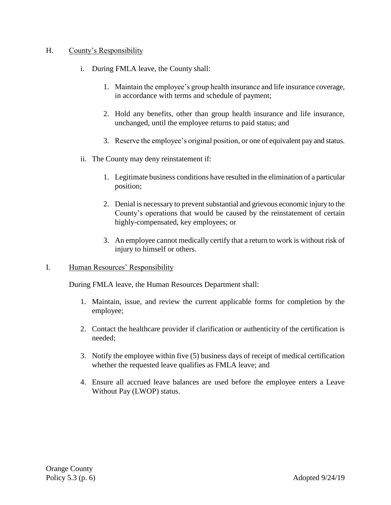### H. County's Responsibility

- i. During FMLA leave, the County shall:
	- 1. Maintain the employee's group health insurance and life insurance coverage, in accordance with terms and schedule of payment;
	- 2. Hold any benefits, other than group health insurance and life insurance, unchanged, until the employee returns to paid status; and
	- 3. Reserve the employee's original position, or one of equivalent pay and status.
- ii. The County may deny reinstatement if:
	- 1. Legitimate business conditions have resulted in the elimination of a particular position;
	- 2. Denial is necessary to prevent substantial and grievous economic injury to the County's operations that would be caused by the reinstatement of certain highly-compensated, key employees; or
	- 3. An employee cannot medically certify that a return to work is without risk of injury to himself or others.
- I. Human Resources' Responsibility

During FMLA leave, the Human Resources Department shall:

- 1. Maintain, issue, and review the current applicable forms for completion by the employee;
- 2. Contact the healthcare provider if clarification or authenticity of the certification is needed;
- 3. Notify the employee within five (5) business days of receipt of medical certification whether the requested leave qualifies as FMLA leave; and
- 4. Ensure all accrued leave balances are used before the employee enters a Leave Without Pay (LWOP) status.